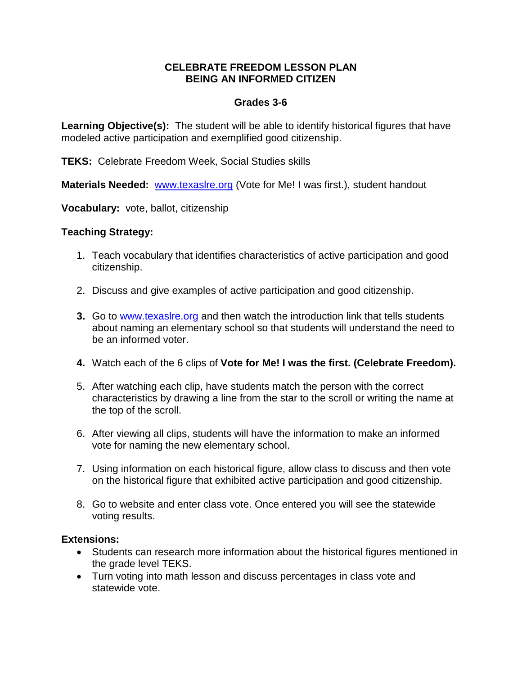## **CELEBRATE FREEDOM LESSON PLAN BEING AN INFORMED CITIZEN**

## **Grades 3-6**

**Learning Objective(s):** The student will be able to identify historical figures that have modeled active participation and exemplified good citizenship.

**TEKS:** Celebrate Freedom Week, Social Studies skills

**Materials Needed:** [www.texaslre.org](http://www.texaslre.org/) (Vote for Me! I was first.), student handout

**Vocabulary:** vote, ballot, citizenship

## **Teaching Strategy:**

- 1. Teach vocabulary that identifies characteristics of active participation and good citizenship.
- 2. Discuss and give examples of active participation and good citizenship.
- **3.** Go to [www.texaslre.org](http://www.texaslre.org/) and then watch the introduction link that tells students about naming an elementary school so that students will understand the need to be an informed voter.
- **4.** Watch each of the 6 clips of **Vote for Me! I was the first. (Celebrate Freedom).**
- 5. After watching each clip, have students match the person with the correct characteristics by drawing a line from the star to the scroll or writing the name at the top of the scroll.
- 6. After viewing all clips, students will have the information to make an informed vote for naming the new elementary school.
- 7. Using information on each historical figure, allow class to discuss and then vote on the historical figure that exhibited active participation and good citizenship.
- 8. Go to website and enter class vote. Once entered you will see the statewide voting results.

## **Extensions:**

- Students can research more information about the historical figures mentioned in the grade level TEKS.
- Turn voting into math lesson and discuss percentages in class vote and statewide vote.